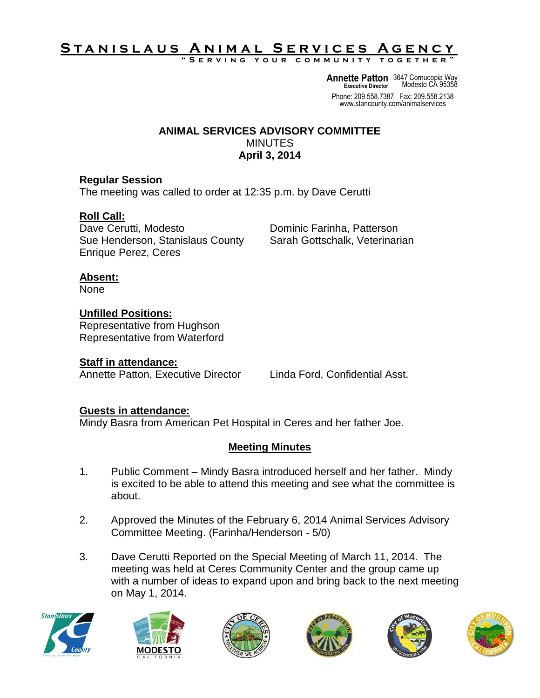# S T A N <u>I S L A U S A N I M A L SERVICES A GENCY</u>

**" S e r v i n g y o u r c o m m u n i t y t o g e t h e r "**

**Annette Patton** 3647 Cornucopia Way **Executive Director** Modesto CA 95358

Phone: 209.558.7387 Fax: 209.558.2138 www.stancounty.com/animalservices

#### **ANIMAL SERVICES ADVISORY COMMITTEE MINUTES April 3, 2014**

### **Regular Session**

The meeting was called to order at 12:35 p.m. by Dave Cerutti

### **Roll Call:**

Dave Cerutti, Modesto **Dominic Farinha, Patterson** Sue Henderson, Stanislaus County Sarah Gottschalk, Veterinarian Enrique Perez, Ceres

### **Absent:**

None

## **Unfilled Positions:**

Representative from Hughson Representative from Waterford

### **Staff in attendance:**

Annette Patton, Executive Director Linda Ford, Confidential Asst.

### **Guests in attendance:**

Mindy Basra from American Pet Hospital in Ceres and her father Joe.

### **Meeting Minutes**

- 1. Public Comment Mindy Basra introduced herself and her father. Mindy is excited to be able to attend this meeting and see what the committee is about.
- 2. Approved the Minutes of the February 6, 2014 Animal Services Advisory Committee Meeting. (Farinha/Henderson - 5/0)
- 3. Dave Cerutti Reported on the Special Meeting of March 11, 2014. The meeting was held at Ceres Community Center and the group came up with a number of ideas to expand upon and bring back to the next meeting on May 1, 2014.